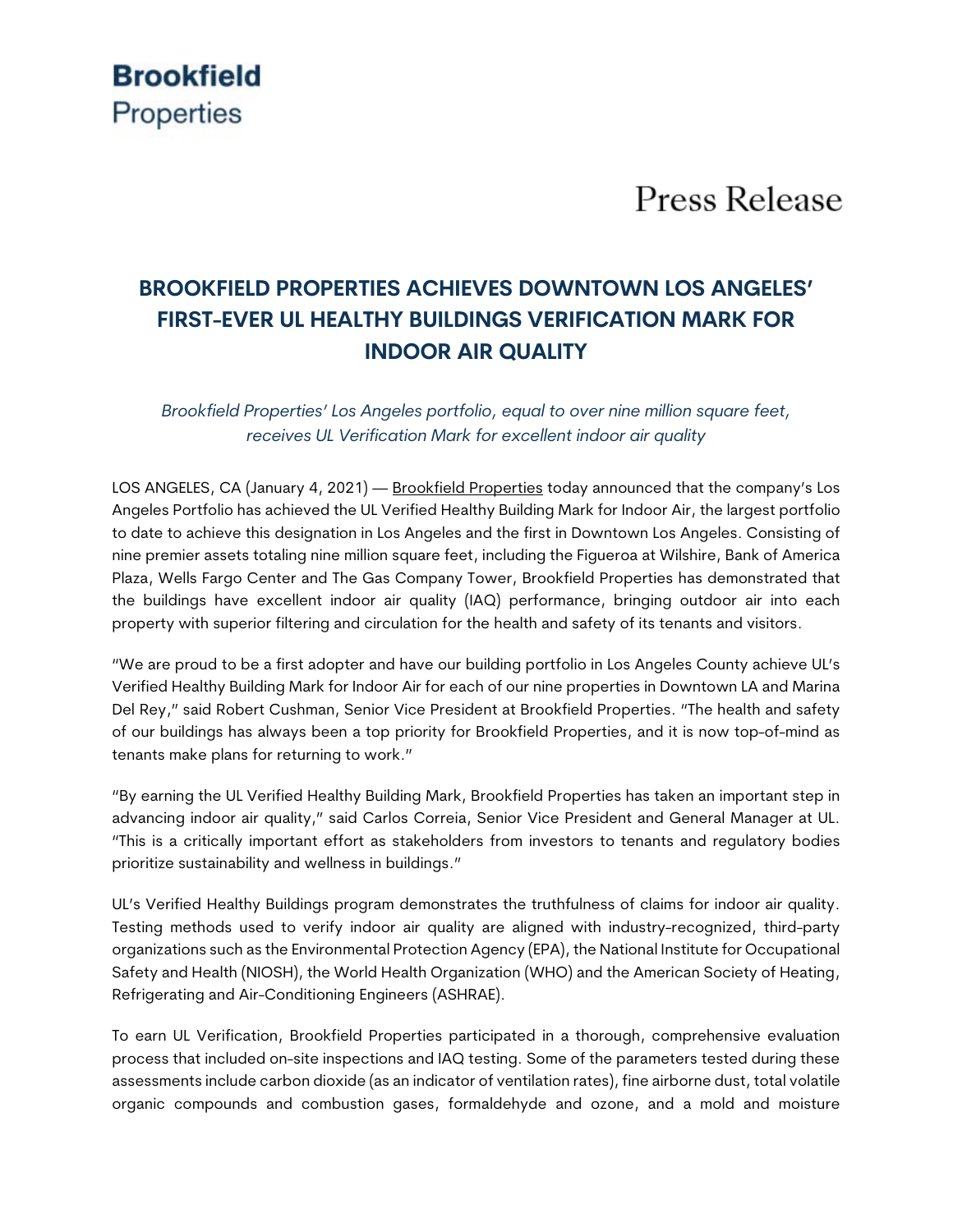## **Brookfield** Properties

# **Press Release**

### **BROOKFIELD PROPERTIES ACHIEVES DOWNTOWN LOS ANGELES' FIRST-EVER UL HEALTHY BUILDINGS VERIFICATION MARK FOR INDOOR AIR QUALITY**

*Brookfield Properties' Los Angeles portfolio, equal to over nine million square feet, receives UL Verification Mark for excellent indoor air quality*

LOS ANGELES, CA (January 4, 2021) — Brookfield Properties today announced that the company's Los Angeles Portfolio has achieved the UL Verified Healthy Building Mark for Indoor Air, the largest portfolio to date to achieve this designation in Los Angeles and the first in Downtown Los Angeles. Consisting of nine premier assets totaling nine million square feet, including the Figueroa at Wilshire, Bank of America Plaza, Wells Fargo Center and The Gas Company Tower, Brookfield Properties has demonstrated that the buildings have excellent indoor air quality (IAQ) performance, bringing outdoor air into each property with superior filtering and circulation for the health and safety of its tenants and visitors.

"We are proud to be a first adopter and have our building portfolio in Los Angeles County achieve UL's Verified Healthy Building Mark for Indoor Air for each of our nine properties in Downtown LA and Marina Del Rey," said Robert Cushman, Senior Vice President at Brookfield Properties. "The health and safety of our buildings has always been a top priority for Brookfield Properties, and it is now top-of-mind as tenants make plans for returning to work."

"By earning the UL Verified Healthy Building Mark, Brookfield Properties has taken an important step in advancing indoor air quality," said Carlos Correia, Senior Vice President and General Manager at UL. "This is a critically important effort as stakeholders from investors to tenants and regulatory bodies prioritize sustainability and wellness in buildings."

UL's Verified Healthy Buildings program demonstrates the truthfulness of claims for indoor air quality. Testing methods used to verify indoor air quality are aligned with industry-recognized, third-party organizations such as the Environmental Protection Agency (EPA), the National Institute for Occupational Safety and Health (NIOSH), the World Health Organization (WHO) and the American Society of Heating, Refrigerating and Air-Conditioning Engineers (ASHRAE).

To earn UL Verification, Brookfield Properties participated in a thorough, comprehensive evaluation process that included on-site inspections and IAQ testing. Some of the parameters tested during these assessments include carbon dioxide (as an indicator of ventilation rates), fine airborne dust, total volatile organic compounds and combustion gases, formaldehyde and ozone, and a mold and moisture